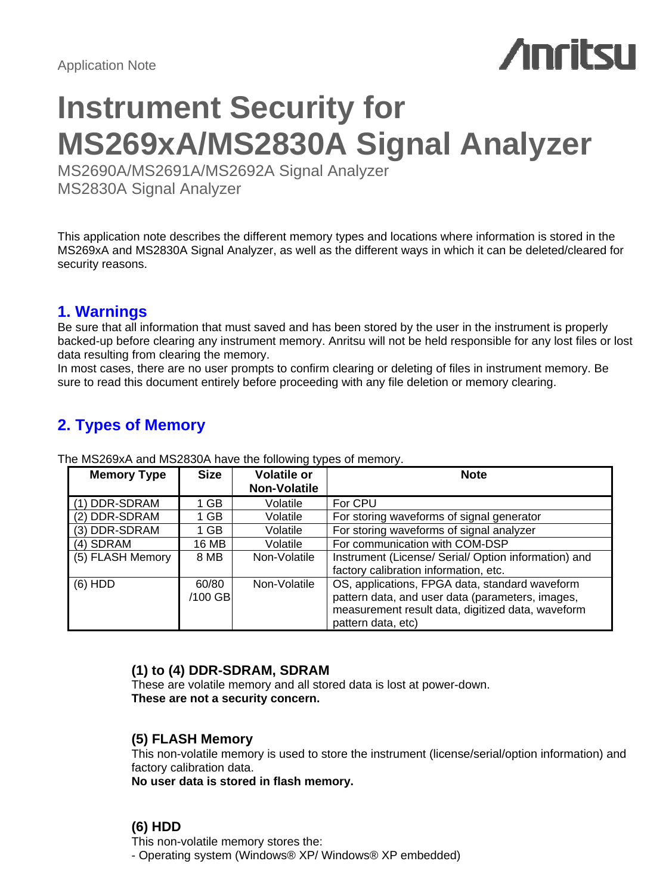# **Anritsu**

# **Instrument Security for MS269xA/MS2830A Signal Analyzer**

MS2690A/MS2691A/MS2692A Signal Analyzer MS2830A Signal Analyzer

This application note describes the different memory types and locations where information is stored in the MS269xA and MS2830A Signal Analyzer, as well as the different ways in which it can be deleted/cleared for security reasons.

# **1. Warnings**

Be sure that all information that must saved and has been stored by the user in the instrument is properly backed-up before clearing any instrument memory. Anritsu will not be held responsible for any lost files or lost data resulting from clearing the memory.

In most cases, there are no user prompts to confirm clearing or deleting of files in instrument memory. Be sure to read this document entirely before proceeding with any file deletion or memory clearing.

# **2. Types of Memory**

| <b>Memory Type</b> | <b>Size</b> | <b>Volatile or</b>  | <b>Note</b>                                          |
|--------------------|-------------|---------------------|------------------------------------------------------|
|                    |             | <b>Non-Volatile</b> |                                                      |
| (1) DDR-SDRAM      | 1 GB.       | Volatile            | For CPU                                              |
| (2) DDR-SDRAM      | 1 GB        | Volatile            | For storing waveforms of signal generator            |
| (3) DDR-SDRAM      | 1 GB        | Volatile            | For storing waveforms of signal analyzer             |
| (4) SDRAM          | 16 MB       | Volatile            | For communication with COM-DSP                       |
| (5) FLASH Memory   | 8 MB        | Non-Volatile        | Instrument (License/ Serial/ Option information) and |
|                    |             |                     | factory calibration information, etc.                |
| $(6)$ HDD          | 60/80       | Non-Volatile        | OS, applications, FPGA data, standard waveform       |
|                    | /100 GBI    |                     | pattern data, and user data (parameters, images,     |
|                    |             |                     | measurement result data, digitized data, waveform    |
|                    |             |                     | pattern data, etc)                                   |

The MS269xA and MS2830A have the following types of memory.

# **(1) to (4) DDR-SDRAM, SDRAM**

These are volatile memory and all stored data is lost at power-down. **These are not a security concern.**

# **(5) FLASH Memory**

This non-volatile memory is used to store the instrument (license/serial/option information) and factory calibration data.

**No user data is stored in flash memory.**

# **(6) HDD**

This non-volatile memory stores the:

- Operating system (Windows® XP/ Windows® XP embedded)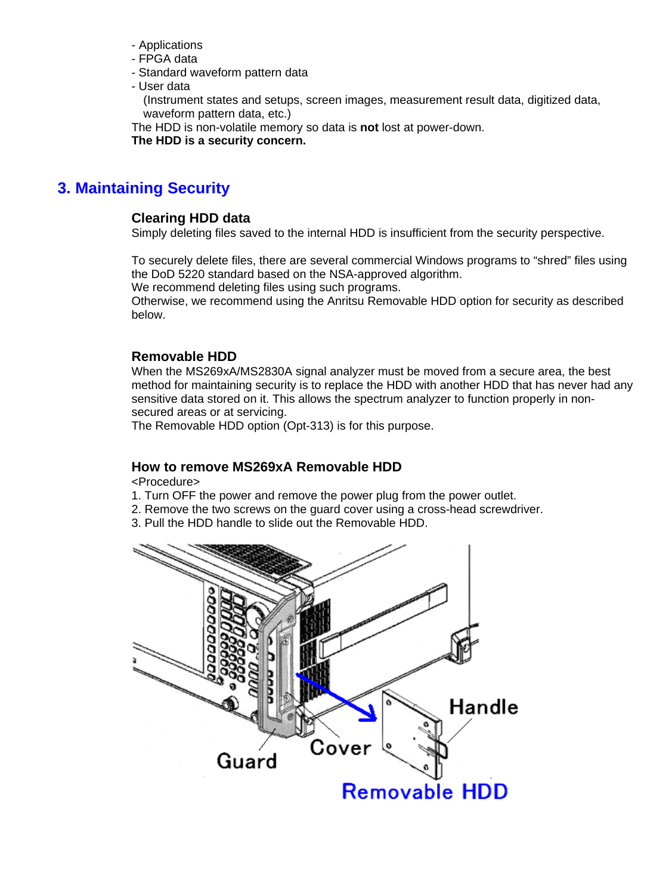- Applications
- FPGA data
- Standard waveform pattern data
- User data

(Instrument states and setups, screen images, measurement result data, digitized data, waveform pattern data, etc.)

The HDD is non-volatile memory so data is **not** lost at power-down.

**The HDD is a security concern.**

# **3. Maintaining Security**

# **Clearing HDD data**

Simply deleting files saved to the internal HDD is insufficient from the security perspective.

To securely delete files, there are several commercial Windows programs to "shred" files using the DoD 5220 standard based on the NSA-approved algorithm.

We recommend deleting files using such programs.

Otherwise, we recommend using the Anritsu Removable HDD option for security as described below.

# **Removable HDD**

When the MS269xA/MS2830A signal analyzer must be moved from a secure area, the best method for maintaining security is to replace the HDD with another HDD that has never had any sensitive data stored on it. This allows the spectrum analyzer to function properly in nonsecured areas or at servicing.

The Removable HDD option (Opt-313) is for this purpose.

# **How to remove MS269xA Removable HDD**

<Procedure>

- 1. Turn OFF the power and remove the power plug from the power outlet.
- 2. Remove the two screws on the guard cover using a cross-head screwdriver.
- 3. Pull the HDD handle to slide out the Removable HDD.

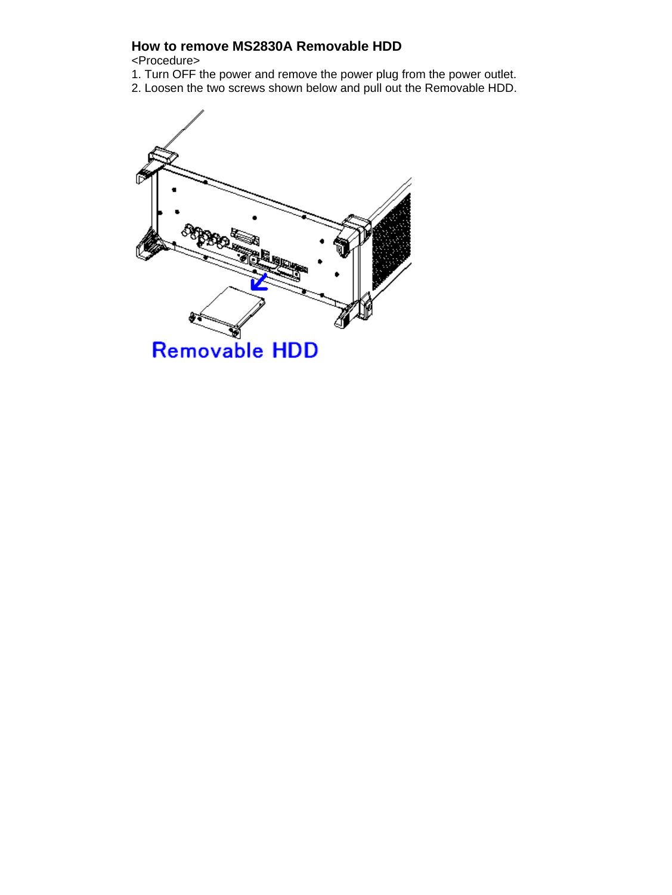# **How to remove MS2830A Removable HDD**

<Procedure>

1. Turn OFF the power and remove the power plug from the power outlet. 2. Loosen the two screws shown below and pull out the Removable HDD.